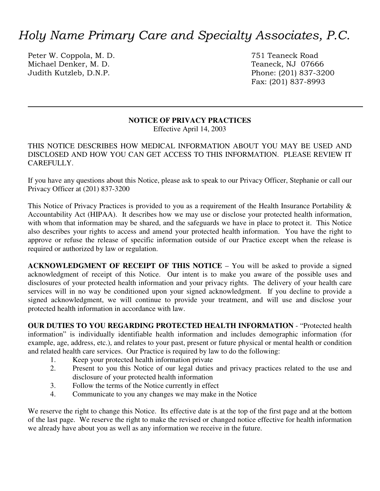# *Holy Name Primary Care and Specialty Associates, P.C.*

Peter W. Coppola, M. D. 2008 2008 2012 12:30 751 Teaneck Road Michael Denker, M. D.<br>
Judith Kutzleb, D.N.P.<br>
Phone: (201) 837-32

Phone: (201) 837-3200 Fax: (201) 837-8993

### **NOTICE OF PRIVACY PRACTICES**

Effective April 14, 2003

THIS NOTICE DESCRIBES HOW MEDICAL INFORMATION ABOUT YOU MAY BE USED AND DISCLOSED AND HOW YOU CAN GET ACCESS TO THIS INFORMATION. PLEASE REVIEW IT CAREFULLY.

If you have any questions about this Notice, please ask to speak to our Privacy Officer, Stephanie or call our Privacy Officer at (201) 837-3200

This Notice of Privacy Practices is provided to you as a requirement of the Health Insurance Portability & Accountability Act (HIPAA). It describes how we may use or disclose your protected health information, with whom that information may be shared, and the safeguards we have in place to protect it. This Notice also describes your rights to access and amend your protected health information. You have the right to approve or refuse the release of specific information outside of our Practice except when the release is required or authorized by law or regulation.

**ACKNOWLEDGMENT OF RECEIPT OF THIS NOTICE** – You will be asked to provide a signed acknowledgment of receipt of this Notice. Our intent is to make you aware of the possible uses and disclosures of your protected health information and your privacy rights. The delivery of your health care services will in no way be conditioned upon your signed acknowledgment. If you decline to provide a signed acknowledgment, we will continue to provide your treatment, and will use and disclose your protected health information in accordance with law.

**OUR DUTIES TO YOU REGARDING PROTECTED HEALTH INFORMATION** - "Protected health information" is individually identifiable health information and includes demographic information (for example, age, address, etc.), and relates to your past, present or future physical or mental health or condition and related health care services. Our Practice is required by law to do the following:

- 1. Keep your protected health information private
- 2. Present to you this Notice of our legal duties and privacy practices related to the use and disclosure of your protected health information
- 3. Follow the terms of the Notice currently in effect
- 4. Communicate to you any changes we may make in the Notice

We reserve the right to change this Notice. Its effective date is at the top of the first page and at the bottom of the last page. We reserve the right to make the revised or changed notice effective for health information we already have about you as well as any information we receive in the future.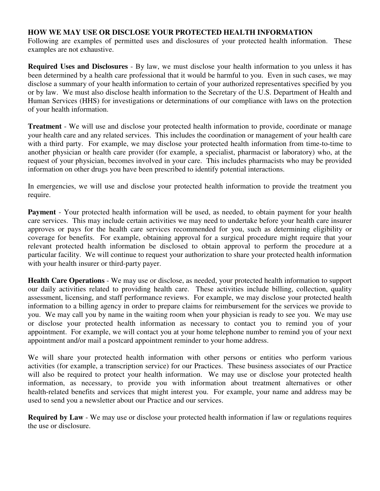### **HOW WE MAY USE OR DISCLOSE YOUR PROTECTED HEALTH INFORMATION**

Following are examples of permitted uses and disclosures of your protected health information. These examples are not exhaustive.

**Required Uses and Disclosures** - By law, we must disclose your health information to you unless it has been determined by a health care professional that it would be harmful to you. Even in such cases, we may disclose a summary of your health information to certain of your authorized representatives specified by you or by law. We must also disclose health information to the Secretary of the U.S. Department of Health and Human Services (HHS) for investigations or determinations of our compliance with laws on the protection of your health information.

**Treatment** - We will use and disclose your protected health information to provide, coordinate or manage your health care and any related services. This includes the coordination or management of your health care with a third party. For example, we may disclose your protected health information from time-to-time to another physician or health care provider (for example, a specialist, pharmacist or laboratory) who, at the request of your physician, becomes involved in your care. This includes pharmacists who may be provided information on other drugs you have been prescribed to identify potential interactions.

In emergencies, we will use and disclose your protected health information to provide the treatment you require.

**Payment** - Your protected health information will be used, as needed, to obtain payment for your health care services. This may include certain activities we may need to undertake before your health care insurer approves or pays for the health care services recommended for you, such as determining eligibility or coverage for benefits. For example, obtaining approval for a surgical procedure might require that your relevant protected health information be disclosed to obtain approval to perform the procedure at a particular facility. We will continue to request your authorization to share your protected health information with your health insurer or third-party payer.

**Health Care Operations** - We may use or disclose, as needed, your protected health information to support our daily activities related to providing health care. These activities include billing, collection, quality assessment, licensing, and staff performance reviews. For example, we may disclose your protected health information to a billing agency in order to prepare claims for reimbursement for the services we provide to you. We may call you by name in the waiting room when your physician is ready to see you. We may use or disclose your protected health information as necessary to contact you to remind you of your appointment. For example, we will contact you at your home telephone number to remind you of your next appointment and/or mail a postcard appointment reminder to your home address.

We will share your protected health information with other persons or entities who perform various activities (for example, a transcription service) for our Practices. These business associates of our Practice will also be required to protect your health information. We may use or disclose your protected health information, as necessary, to provide you with information about treatment alternatives or other health-related benefits and services that might interest you. For example, your name and address may be used to send you a newsletter about our Practice and our services.

**Required by Law** - We may use or disclose your protected health information if law or regulations requires the use or disclosure.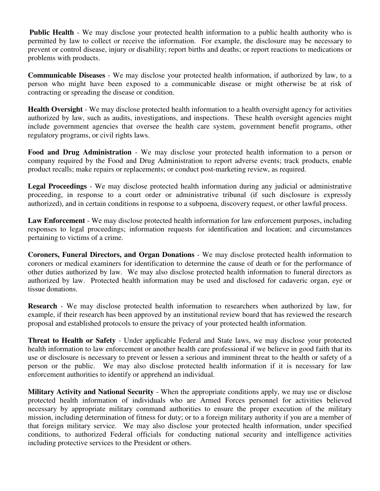**Public Health** - We may disclose your protected health information to a public health authority who is permitted by law to collect or receive the information. For example, the disclosure may be necessary to prevent or control disease, injury or disability; report births and deaths; or report reactions to medications or problems with products.

**Communicable Diseases** - We may disclose your protected health information, if authorized by law, to a person who might have been exposed to a communicable disease or might otherwise be at risk of contracting or spreading the disease or condition.

**Health Oversight** - We may disclose protected health information to a health oversight agency for activities authorized by law, such as audits, investigations, and inspections. These health oversight agencies might include government agencies that oversee the health care system, government benefit programs, other regulatory programs, or civil rights laws.

**Food and Drug Administration** - We may disclose your protected health information to a person or company required by the Food and Drug Administration to report adverse events; track products, enable product recalls; make repairs or replacements; or conduct post-marketing review, as required.

**Legal Proceedings** - We may disclose protected health information during any judicial or administrative proceeding, in response to a court order or administrative tribunal (if such disclosure is expressly authorized), and in certain conditions in response to a subpoena, discovery request, or other lawful process.

**Law Enforcement** - We may disclose protected health information for law enforcement purposes, including responses to legal proceedings; information requests for identification and location; and circumstances pertaining to victims of a crime.

**Coroners, Funeral Directors, and Organ Donations** - We may disclose protected health information to coroners or medical examiners for identification to determine the cause of death or for the performance of other duties authorized by law. We may also disclose protected health information to funeral directors as authorized by law. Protected health information may be used and disclosed for cadaveric organ, eye or tissue donations.

**Research** - We may disclose protected health information to researchers when authorized by law, for example, if their research has been approved by an institutional review board that has reviewed the research proposal and established protocols to ensure the privacy of your protected health information.

**Threat to Health or Safety** - Under applicable Federal and State laws, we may disclose your protected health information to law enforcement or another health care professional if we believe in good faith that its use or disclosure is necessary to prevent or lessen a serious and imminent threat to the health or safety of a person or the public. We may also disclose protected health information if it is necessary for law enforcement authorities to identify or apprehend an individual.

**Military Activity and National Security** - When the appropriate conditions apply, we may use or disclose protected health information of individuals who are Armed Forces personnel for activities believed necessary by appropriate military command authorities to ensure the proper execution of the military mission, including determination of fitness for duty; or to a foreign military authority if you are a member of that foreign military service. We may also disclose your protected health information, under specified conditions, to authorized Federal officials for conducting national security and intelligence activities including protective services to the President or others.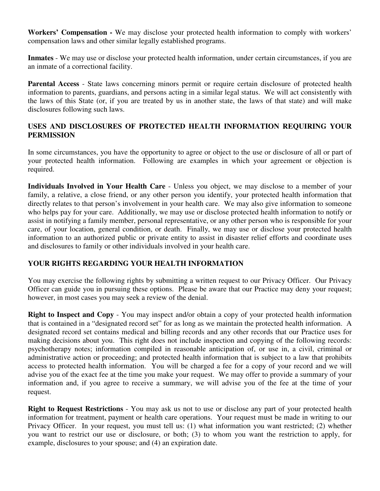**Workers' Compensation -** We may disclose your protected health information to comply with workers' compensation laws and other similar legally established programs.

**Inmates** - We may use or disclose your protected health information, under certain circumstances, if you are an inmate of a correctional facility.

**Parental Access** - State laws concerning minors permit or require certain disclosure of protected health information to parents, guardians, and persons acting in a similar legal status. We will act consistently with the laws of this State (or, if you are treated by us in another state, the laws of that state) and will make disclosures following such laws.

## **USES AND DISCLOSURES OF PROTECTED HEALTH INFORMATION REQUIRING YOUR PERMISSION**

In some circumstances, you have the opportunity to agree or object to the use or disclosure of all or part of your protected health information. Following are examples in which your agreement or objection is required.

**Individuals Involved in Your Health Care** - Unless you object, we may disclose to a member of your family, a relative, a close friend, or any other person you identify, your protected health information that directly relates to that person's involvement in your health care. We may also give information to someone who helps pay for your care. Additionally, we may use or disclose protected health information to notify or assist in notifying a family member, personal representative, or any other person who is responsible for your care, of your location, general condition, or death. Finally, we may use or disclose your protected health information to an authorized public or private entity to assist in disaster relief efforts and coordinate uses and disclosures to family or other individuals involved in your health care.

# **YOUR RIGHTS REGARDING YOUR HEALTH INFORMATION**

You may exercise the following rights by submitting a written request to our Privacy Officer. Our Privacy Officer can guide you in pursuing these options. Please be aware that our Practice may deny your request; however, in most cases you may seek a review of the denial.

**Right to Inspect and Copy** - You may inspect and/or obtain a copy of your protected health information that is contained in a "designated record set" for as long as we maintain the protected health information. A designated record set contains medical and billing records and any other records that our Practice uses for making decisions about you. This right does not include inspection and copying of the following records: psychotherapy notes; information compiled in reasonable anticipation of, or use in, a civil, criminal or administrative action or proceeding; and protected health information that is subject to a law that prohibits access to protected health information. You will be charged a fee for a copy of your record and we will advise you of the exact fee at the time you make your request. We may offer to provide a summary of your information and, if you agree to receive a summary, we will advise you of the fee at the time of your request.

**Right to Request Restrictions** - You may ask us not to use or disclose any part of your protected health information for treatment, payment or health care operations. Your request must be made in writing to our Privacy Officer. In your request, you must tell us: (1) what information you want restricted; (2) whether you want to restrict our use or disclosure, or both; (3) to whom you want the restriction to apply, for example, disclosures to your spouse; and (4) an expiration date.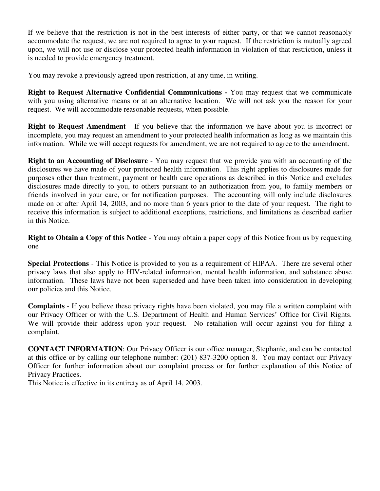If we believe that the restriction is not in the best interests of either party, or that we cannot reasonably accommodate the request, we are not required to agree to your request. If the restriction is mutually agreed upon, we will not use or disclose your protected health information in violation of that restriction, unless it is needed to provide emergency treatment.

You may revoke a previously agreed upon restriction, at any time, in writing.

**Right to Request Alternative Confidential Communications -** You may request that we communicate with you using alternative means or at an alternative location. We will not ask you the reason for your request. We will accommodate reasonable requests, when possible.

**Right to Request Amendment** - If you believe that the information we have about you is incorrect or incomplete, you may request an amendment to your protected health information as long as we maintain this information. While we will accept requests for amendment, we are not required to agree to the amendment.

**Right to an Accounting of Disclosure** - You may request that we provide you with an accounting of the disclosures we have made of your protected health information. This right applies to disclosures made for purposes other than treatment, payment or health care operations as described in this Notice and excludes disclosures made directly to you, to others pursuant to an authorization from you, to family members or friends involved in your care, or for notification purposes. The accounting will only include disclosures made on or after April 14, 2003, and no more than 6 years prior to the date of your request. The right to receive this information is subject to additional exceptions, restrictions, and limitations as described earlier in this Notice.

**Right to Obtain a Copy of this Notice** - You may obtain a paper copy of this Notice from us by requesting one

**Special Protections** - This Notice is provided to you as a requirement of HIPAA. There are several other privacy laws that also apply to HIV-related information, mental health information, and substance abuse information. These laws have not been superseded and have been taken into consideration in developing our policies and this Notice.

**Complaints** - If you believe these privacy rights have been violated, you may file a written complaint with our Privacy Officer or with the U.S. Department of Health and Human Services' Office for Civil Rights. We will provide their address upon your request. No retaliation will occur against you for filing a complaint.

**CONTACT INFORMATION**: Our Privacy Officer is our office manager, Stephanie, and can be contacted at this office or by calling our telephone number: (201) 837-3200 option 8. You may contact our Privacy Officer for further information about our complaint process or for further explanation of this Notice of Privacy Practices.

This Notice is effective in its entirety as of April 14, 2003.